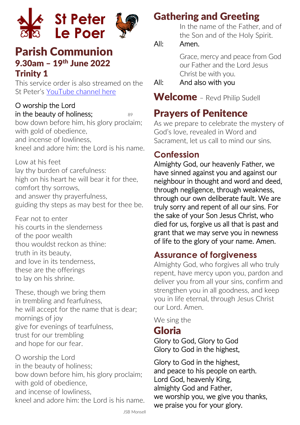



## Parish Communion 9.30am – 19 th June 2022 Trinity 1

This service order is also streamed on the St Peter's [YouTube channel here](https://www.youtube.com/channel/UC6UIg8_l7nZgnqxFmrjSWYA)

#### O worship the Lord in the beauty of holiness;  $\frac{89}{ }$

bow down before him, his glory proclaim; with gold of obedience, and incense of lowliness, kneel and adore him: the Lord is his name.

Low at his feet lay thy burden of carefulness: high on his heart he will bear it for thee, comfort thy sorrows, and answer thy prayerfulness, guiding thy steps as may best for thee be.

Fear not to enter his courts in the slenderness of the poor wealth thou wouldst reckon as thine: truth in its beauty, and love in its tenderness, these are the offerings to lay on his shrine.

These, though we bring them in trembling and fearfulness, he will accept for the name that is dear; mornings of joy give for evenings of tearfulness, trust for our trembling and hope for our fear.

O worship the Lord in the beauty of holiness; bow down before him, his glory proclaim; with gold of obedience, and incense of lowliness, kneel and adore him: the Lord is his name.

## Gathering and Greeting

In the name of the Father, and of the Son and of the Holy Spirit.

#### All: Amen.

Grace, mercy and peace from God our Father and the Lord Jesus Christ be with you.

All: And also with you

Welcome - Revd Philip Sudell

# Prayers of Penitence

As we prepare to celebrate the mystery of God's love, revealed in Word and Sacrament, let us call to mind our sins.

## **Confession**

Almighty God, our heavenly Father, we have sinned against you and against our neighbour in thought and word and deed, through negligence, through weakness, through our own deliberate fault. We are truly sorry and repent of all our sins. For the sake of your Son Jesus Christ, who died for us, forgive us all that is past and grant that we may serve you in newness of life to the glory of your name. Amen.

## **Assurance of forgiveness**

Almighty God, who forgives all who truly repent, have mercy upon you, pardon and deliver you from all your sins, confirm and strengthen you in all goodness, and keep you in life eternal, through Jesus Christ our Lord. Amen.

We sing the

### Gloria

Glory to God, Glory to God Glory to God in the highest,

Glory to God in the highest, and peace to his people on earth. Lord God, heavenly King, almighty God and Father, we worship you, we give you thanks, we praise you for your glory.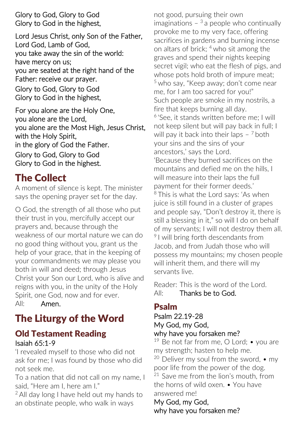Glory to God, Glory to God Glory to God in the highest,

Lord Jesus Christ, only Son of the Father, Lord God, Lamb of God, you take away the sin of the world: have mercy on us; you are seated at the right hand of the Father: receive our prayer. Glory to God, Glory to God Glory to God in the highest,

For you alone are the Holy One, you alone are the Lord, you alone are the Most High, Jesus Christ, with the Holy Spirit, in the glory of God the Father. Glory to God, Glory to God Glory to God in the highest.

## The Collect

A moment of silence is kept. The minister says the opening prayer set for the day.

O God, the strength of all those who put their trust in you, mercifully accept our prayers and, because through the weakness of our mortal nature we can do no good thing without you, grant us the help of your grace, that in the keeping of your commandments we may please you both in will and deed; through Jesus Christ your Son our Lord, who is alive and reigns with you, in the unity of the Holy Spirit, one God, now and for ever. All: Amen.

# The Liturgy of the Word

#### Old Testament Reading Isaiah 65:1-9

'I revealed myself to those who did not ask for me; I was found by those who did not seek me.

To a nation that did not call on my name, I said, "Here am I, here am I."

 $2$  All day long I have held out my hands to an obstinate people, who walk in ways

not good, pursuing their own imaginations  $-3a$  people who continually provoke me to my very face, offering sacrifices in gardens and burning incense on altars of brick; <sup>4</sup> who sit among the graves and spend their nights keeping secret vigil; who eat the flesh of pigs, and whose pots hold broth of impure meat: <sup>5</sup> who say, "Keep away; don't come near me, for I am too sacred for you!" Such people are smoke in my nostrils, a fire that keeps burning all day. 6 'See, it stands written before me; I will not keep silent but will pay back in full; I will pay it back into their laps  $-7$  both your sins and the sins of your ancestors,' says the Lord. 'Because they burned sacrifices on the mountains and defied me on the hills. I will measure into their laps the full payment for their former deeds.' <sup>8</sup> This is what the Lord says: 'As when juice is still found in a cluster of grapes and people say, "Don't destroy it, there is still a blessing in it," so will I do on behalf of my servants; I will not destroy them all. <sup>9</sup> I will bring forth descendants from Jacob, and from Judah those who will possess my mountains; my chosen people will inherit them, and there will my servants live.

Reader: This is the word of the Lord. All: Thanks be to God.

### Psalm

#### Psalm 22.19-28 My God, my God, why have you forsaken me?

 $19$  Be not far from me, O Lord; • you are my strength; hasten to help me. <sup>20</sup> Deliver my soul from the sword,  $\bullet$  my poor life from the power of the dog. <sup>21</sup> Save me from the lion's mouth, from the horns of wild oxen. • You have answered me!

My God, my God, why have you forsaken me?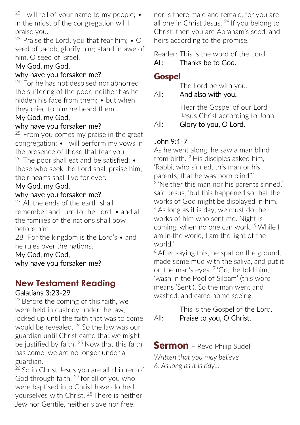$22$  I will tell of your name to my people;  $\bullet$ in the midst of the congregation will I praise you.

<sup>23</sup> Praise the Lord, you that fear him:  $\bullet$  O seed of Jacob, glorify him; stand in awe of him, O seed of Israel.

#### My God, my God, why have you forsaken me?

<sup>24</sup> For he has not despised nor abhorred the suffering of the poor; neither has he hidden his face from them; • but when they cried to him he heard them.

#### My God, my God, why have you forsaken me?

 $25$  From you comes my praise in the great congregation; • I will perform my vows in the presence of those that fear you. <sup>26</sup> The poor shall eat and be satisfied:  $\bullet$ those who seek the Lord shall praise him; their hearts shall live for ever.

#### My God, my God, why have you forsaken me?

<sup>27</sup> All the ends of the earth shall remember and turn to the Lord, • and all the families of the nations shall bow before him.

28 For the kingdom is the Lord's • and he rules over the nations.

My God, my God, why have you forsaken me?

### **New Testament Reading** Galatians 3:23-29

<sup>23</sup> Before the coming of this faith, we were held in custody under the law, locked up until the faith that was to come would be revealed. <sup>24</sup> So the law was our guardian until Christ came that we might be justified by faith. <sup>25</sup> Now that this faith has come, we are no longer under a guardian.

<sup>26</sup> So in Christ Jesus you are all children of God through faith, <sup>27</sup> for all of you who were baptised into Christ have clothed yourselves with Christ. <sup>28</sup> There is neither Jew nor Gentile, neither slave nor free,

nor is there male and female, for you are all one in Christ Jesus. <sup>29</sup> If you belong to Christ, then you are Abraham's seed, and heirs according to the promise.

Reader: This is the word of the Lord.

#### All: Thanks be to God.

## **Gospel**

The Lord be with you.

All: And also with you.

Hear the Gospel of our Lord Jesus Christ according to John.

### All: Glory to you, O Lord.

## John 9:1-7

As he went along, he saw a man blind from birth. <sup>2</sup> His disciples asked him, 'Rabbi, who sinned, this man or his parents, that he was born blind?' 3 'Neither this man nor his parents sinned,' said Jesus, 'but this happened so that the works of God might be displayed in him. <sup>4</sup> As long as it is day, we must do the works of him who sent me. Night is coming, when no one can work. <sup>5</sup> While I am in the world, I am the light of the world.'

 $6$  After saying this, he spat on the ground, made some mud with the saliva, and put it on the man's eyes. <sup>7</sup> 'Go,' he told him, 'wash in the Pool of Siloam' (this word means 'Sent'). So the man went and washed, and came home seeing.

This is the Gospel of the Lord.

### All: Praise to you, O Christ.

**Sermon** - Revd Philip Sudell *Written that you may believe*

*6. As long as it is day...*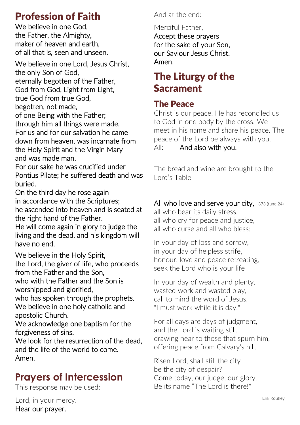## Profession of Faith

We believe in one God. the Father, the Almighty, maker of heaven and earth, of all that is, seen and unseen.

We believe in one Lord, Jesus Christ, the only Son of God, eternally begotten of the Father, God from God, Light from Light, true God from true God, begotten, not made, of one Being with the Father; through him all things were made. For us and for our salvation he came down from heaven, was incarnate from the Holy Spirit and the Virgin Mary and was made man.

For our sake he was crucified under Pontius Pilate; he suffered death and was buried.

On the third day he rose again in accordance with the Scriptures; he ascended into heaven and is seated at the right hand of the Father.

He will come again in glory to judge the living and the dead, and his kingdom will have no end.

We believe in the Holy Spirit, the Lord, the giver of life, who proceeds from the Father and the Son, who with the Father and the Son is worshipped and glorified, who has spoken through the prophets. We believe in one holy catholic and

apostolic Church. We acknowledge one baptism for the

forgiveness of sins. We look for the resurrection of the dead,

and the life of the world to come. Amen.

# **Prayers of Intercession**

This response may be used:

Lord, in your mercy. Hear our prayer.

And at the end:

#### Merciful Father,

Accept these prayers for the sake of your Son, our Saviour Jesus Christ. Amen.

## The Liturgy of the Sacrament

### The Peace

Christ is our peace. He has reconciled us to God in one body by the cross. We meet in his name and share his peace. The peace of the Lord be always with you.

#### All: And also with you.

The bread and wine are brought to the Lord's Table

#### All who love and serve your city, 373 (tune 24)

all who bear its daily stress, all who cry for peace and justice, all who curse and all who bless:

In your day of loss and sorrow, in your day of helpless strife, honour, love and peace retreating, seek the Lord who is your life

In your day of wealth and plenty, wasted work and wasted play, call to mind the word of Jesus, "I must work while it is day."

For all days are days of judgment, and the Lord is waiting still, drawing near to those that spurn him, offering peace from Calvary's hill.

Risen Lord, shall still the city be the city of despair? Come today, our judge, our glory. Be its name "The Lord is there!"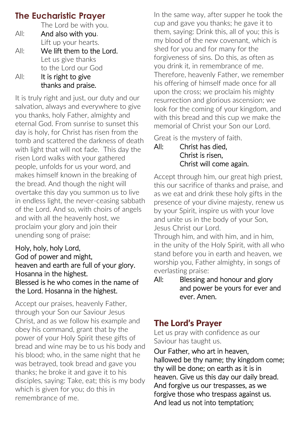## **The Eucharistic Prayer**

The Lord be with you. All: And also with you. Lift up your hearts. All: We lift them to the Lord. Let us give thanks to the Lord our God

#### All: It is right to give thanks and praise.

It is truly right and just, our duty and our salvation, always and everywhere to give you thanks, holy Father, almighty and eternal God. From sunrise to sunset this day is holy, for Christ has risen from the tomb and scattered the darkness of death with light that will not fade. This day the risen Lord walks with your gathered people, unfolds for us your word, and makes himself known in the breaking of the bread. And though the night will overtake this day you summon us to live in endless light, the never-ceasing sabbath of the Lord. And so, with choirs of angels and with all the heavenly host, we proclaim your glory and join their unending song of praise:

Holy, holy, holy Lord, God of power and might, heaven and earth are full of your glory. Hosanna in the highest. Blessed is he who comes in the name of the Lord. Hosanna in the highest.

Accept our praises, heavenly Father, through your Son our Saviour Jesus Christ, and as we follow his example and obey his command, grant that by the power of your Holy Spirit these gifts of bread and wine may be to us his body and his blood; who, in the same night that he was betrayed, took bread and gave you thanks; he broke it and gave it to his disciples, saying: Take, eat; this is my body which is given for you; do this in remembrance of me.

In the same way, after supper he took the cup and gave you thanks; he gave it to them, saying: Drink this, all of you; this is my blood of the new covenant, which is shed for you and for many for the forgiveness of sins. Do this, as often as you drink it, in remembrance of me. Therefore, heavenly Father, we remember his offering of himself made once for all upon the cross; we proclaim his mighty resurrection and glorious ascension; we look for the coming of your kingdom, and with this bread and this cup we make the memorial of Christ your Son our Lord.

Great is the mystery of faith.

#### All: Christ has died, Christ is risen, Christ will come again.

Accept through him, our great high priest, this our sacrifice of thanks and praise, and as we eat and drink these holy gifts in the presence of your divine majesty, renew us by your Spirit, inspire us with your love and unite us in the body of your Son, Jesus Christ our Lord.

Through him, and with him, and in him, in the unity of the Holy Spirit, with all who stand before you in earth and heaven, we worship you, Father almighty, in songs of everlasting praise:

All: Blessing and honour and glory and power be yours for ever and ever. Amen.

## The Lord's Prayer

Let us pray with confidence as our Saviour has taught us.

Our Father, who art in heaven, hallowed be thy name; thy kingdom come; thy will be done; on earth as it is in heaven. Give us this day our daily bread. And forgive us our trespasses, as we forgive those who trespass against us. And lead us not into temptation;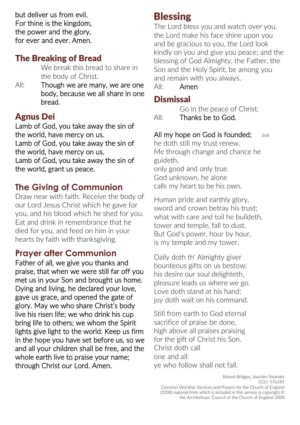but deliver us from evil. For thine is the kingdom, the power and the glory, for ever and ever. Amen.

### The Breaking of Bread

We break this bread to share in the body of Christ.

All: Though we are many, we are one body, because we all share in one bread.

### Agnus Dei

Lamb of God, you take away the sin of the world, have mercy on us. Lamb of God, you take away the sin of the world, have mercy on us. Lamb of God, you take away the sin of the world, grant us peace.

### **The Giving of Communion**

Draw near with faith. Receive the body of our Lord Jesus Christ which he gave for you, and his blood which he shed for you. Eat and drink in remembrance that he died for you, and feed on him in your hearts by faith with thanksgiving.

### **Prayer after Communion**

Father of all, we give you thanks and praise, that when we were still far off you met us in your Son and brought us home. Dying and living, he declared your love, gave us grace, and opened the gate of glory. May we who share Christ's body live his risen life; we who drink his cup bring life to others; we whom the Spirit lights give light to the world. Keep us firm in the hope you have set before us, so we and all your children shall be free, and the whole earth live to praise your name; through Christ our Lord. Amen.

## Blessing

The Lord bless you and watch over you, the Lord make his face shine upon you and be gracious to you, the Lord look kindly on you and give you peace; and the blessing of God Almighty, the Father, the Son and the Holy Spirit, be among you and remain with you always.

All: Amen

### **Dismissal**

Go in the peace of Christ.

All: Thanks be to God.

#### All my hope on God is founded; 368

he doth still my trust renew. Me through change and chance he guideth, only good and only true. God unknown, he alone calls my heart to be his own.

Human pride and earthly glory, sword and crown betray his trust; what with care and toil he buildeth tower and temple, fall to dust. But God's power, hour by hour, is my temple and my tower.

Daily doth th' Almighty giver bounteous gifts on us bestow; his desire our soul delighteth, pleasure leads us where we go. Love doth stand at his hand; joy doth wait on his command.

Still from earth to God eternal sacrifice of praise be done, high above all praises praising for the gift of Christ his Son. Christ doth call one and all: ye who follow shall not fall.